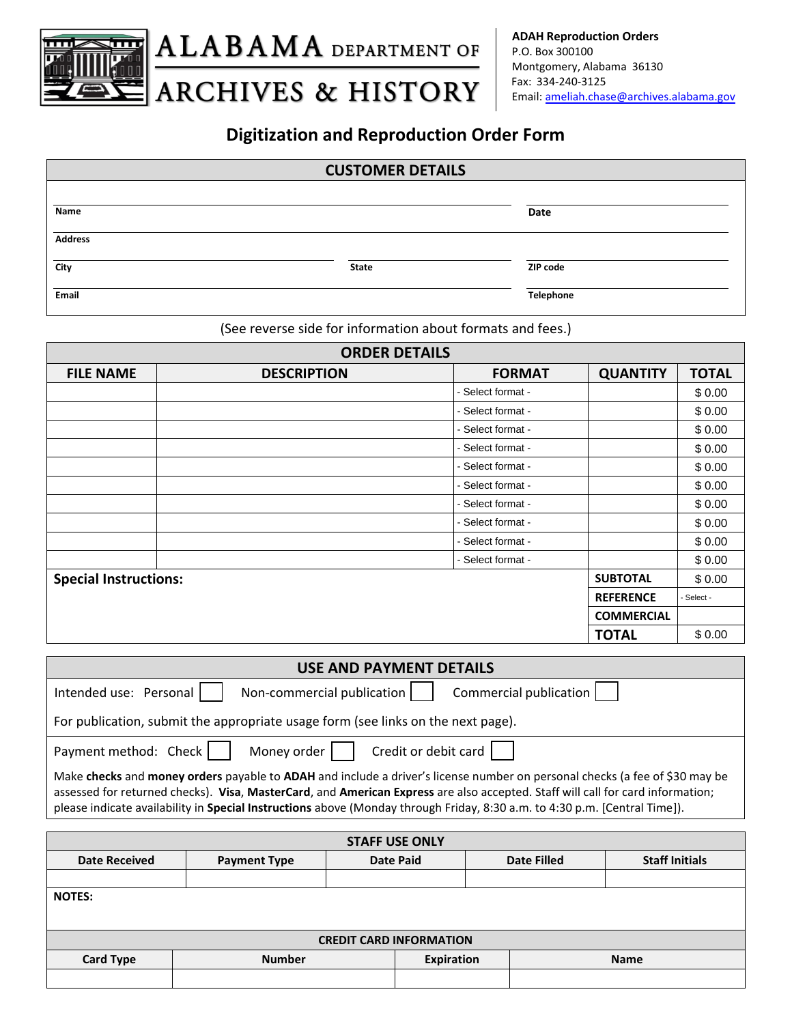

# **Digitization and Reproduction Order Form**

### **CUSTOMER DETAILS**

| Name           |              | Date      |
|----------------|--------------|-----------|
| <b>Address</b> |              |           |
| City           | <b>State</b> | ZIP code  |
| Email          |              | Telephone |

(See reverse side for information about formats and fees.)

| <b>ORDER DETAILS</b>         |                    |                   |                   |              |  |
|------------------------------|--------------------|-------------------|-------------------|--------------|--|
| <b>FILE NAME</b>             | <b>DESCRIPTION</b> | <b>FORMAT</b>     | <b>QUANTITY</b>   | <b>TOTAL</b> |  |
|                              |                    | - Select format - |                   | \$0.00       |  |
|                              |                    | - Select format - |                   | \$0.00       |  |
|                              |                    | - Select format - |                   | \$0.00       |  |
|                              |                    | - Select format - |                   | \$0.00       |  |
|                              |                    | - Select format - |                   | \$0.00       |  |
|                              |                    | - Select format - |                   | \$0.00       |  |
|                              |                    | - Select format - |                   | \$0.00       |  |
|                              |                    | - Select format - |                   | \$0.00       |  |
|                              |                    | - Select format - |                   | \$0.00       |  |
|                              |                    | - Select format - |                   | \$0.00       |  |
| <b>Special Instructions:</b> |                    |                   | <b>SUBTOTAL</b>   | \$0.00       |  |
|                              |                    |                   | <b>REFERENCE</b>  | - Select -   |  |
|                              |                    |                   | <b>COMMERCIAL</b> |              |  |
|                              |                    |                   | <b>TOTAL</b>      | \$0.00       |  |

| <b>USE AND PAYMENT DETAILS</b>                                                                                                                                                                                                                                                                                                                                                              |  |  |  |
|---------------------------------------------------------------------------------------------------------------------------------------------------------------------------------------------------------------------------------------------------------------------------------------------------------------------------------------------------------------------------------------------|--|--|--|
| Commercial publication  <br>Intended use: Personal<br>Non-commercial publication                                                                                                                                                                                                                                                                                                            |  |  |  |
| For publication, submit the appropriate usage form (see links on the next page).                                                                                                                                                                                                                                                                                                            |  |  |  |
| Credit or debit card<br>Money order  <br>Payment method: Check                                                                                                                                                                                                                                                                                                                              |  |  |  |
| Make checks and money orders payable to ADAH and include a driver's license number on personal checks (a fee of \$30 may be<br>assessed for returned checks). Visa, MasterCard, and American Express are also accepted. Staff will call for card information;<br>please indicate availability in Special Instructions above (Monday through Friday, 8:30 a.m. to 4:30 p.m. [Central Time]). |  |  |  |

| <b>STAFF USE ONLY</b>          |                     |                  |                    |                       |  |  |
|--------------------------------|---------------------|------------------|--------------------|-----------------------|--|--|
| <b>Date Received</b>           | <b>Payment Type</b> | <b>Date Paid</b> | <b>Date Filled</b> | <b>Staff Initials</b> |  |  |
|                                |                     |                  |                    |                       |  |  |
| <b>NOTES:</b>                  |                     |                  |                    |                       |  |  |
|                                |                     |                  |                    |                       |  |  |
| <b>CREDIT CARD INFORMATION</b> |                     |                  |                    |                       |  |  |
| <b>Card Type</b>               | <b>Number</b>       | Expiration       |                    | <b>Name</b>           |  |  |
|                                |                     |                  |                    |                       |  |  |